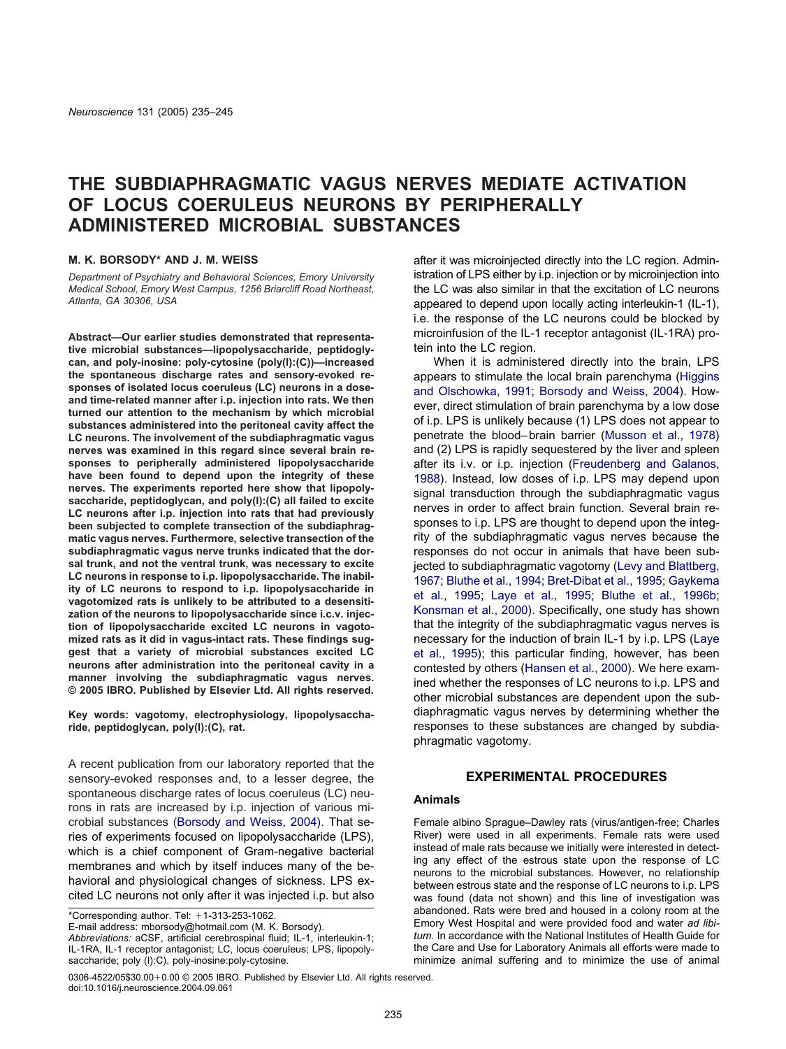# **THE SUBDIAPHRAGMATIC VAGUS NERVES MEDIATE ACTIVATION OF LOCUS COERULEUS NEURONS BY PERIPHERALLY ADMINISTERED MICROBIAL SUBSTANCES**

# **M. K. BORSODY\* AND J. M. WEISS**

*Department of Psychiatry and Behavioral Sciences, Emory University Medical School, Emory West Campus, 1256 Briarcliff Road Northeast, Atlanta, GA 30306, USA*

**Abstract—Our earlier studies demonstrated that representative microbial substances—lipopolysaccharide, peptidoglycan, and poly-inosine: poly-cytosine (poly(I):(C))—increased the spontaneous discharge rates and sensory-evoked responses of isolated locus coeruleus (LC) neurons in a doseand time-related manner after i.p. injection into rats. We then turned our attention to the mechanism by which microbial substances administered into the peritoneal cavity affect the LC neurons. The involvement of the subdiaphragmatic vagus nerves was examined in this regard since several brain responses to peripherally administered lipopolysaccharide have been found to depend upon the integrity of these nerves. The experiments reported here show that lipopolysaccharide, peptidoglycan, and poly(I):(C) all failed to excite LC neurons after i.p. injection into rats that had previously been subjected to complete transection of the subdiaphragmatic vagus nerves. Furthermore, selective transection of the subdiaphragmatic vagus nerve trunks indicated that the dorsal trunk, and not the ventral trunk, was necessary to excite LC neurons in response to i.p. lipopolysaccharide. The inability of LC neurons to respond to i.p. lipopolysaccharide in vagotomized rats is unlikely to be attributed to a desensitization of the neurons to lipopolysaccharide since i.c.v. injection of lipopolysaccharide excited LC neurons in vagotomized rats as it did in vagus-intact rats. These findings suggest that a variety of microbial substances excited LC neurons after administration into the peritoneal cavity in a manner involving the subdiaphragmatic vagus nerves. © 2005 IBRO. Published by Elsevier Ltd. All rights reserved.**

**Key words: vagotomy, electrophysiology, lipopolysaccharide, peptidoglycan, poly(I):(C), rat.**

A recent publication from our laboratory reported that the sensory-evoked responses and, to a lesser degree, the spontaneous discharge rates of locus coeruleus (LC) neurons in rats are increased by i.p. injection of various microbial substances [\(Borsody and Weiss, 2004\)](#page-10-0). That series of experiments focused on lipopolysaccharide (LPS), which is a chief component of Gram-negative bacterial membranes and which by itself induces many of the behavioral and physiological changes of sickness. LPS excited LC neurons not only after it was injected i.p. but also

\*Corresponding author. Tel:  $+1-313-253-1062$ .

E-mail address: mborsody@hotmail.com (M. K. Borsody). *Abbreviations:* aCSF, artificial cerebrospinal fluid; IL-1, interleukin-1; IL-1RA, IL-1 receptor antagonist; LC, locus coeruleus; LPS, lipopolysaccharide; poly (I):C), poly-inosine:poly-cytosine.

 $0306-4522/05$30.00+0.00  $\circledcirc$  2005 IBRO. Published by Elsevier Ltd. All rights reserved.$ doi:10.1016/j.neuroscience.2004.09.061

after it was microinjected directly into the LC region. Administration of LPS either by i.p. injection or by microinjection into the LC was also similar in that the excitation of LC neurons appeared to depend upon locally acting interleukin-1 (IL-1), i.e. the response of the LC neurons could be blocked by microinfusion of the IL-1 receptor antagonist (IL-1RA) protein into the LC region.

When it is administered directly into the brain, LPS appears to stimulate the local brain parenchyma [\(Higgins](#page-10-0) [and Olschowka, 1991;](#page-10-0) [Borsody and Weiss, 2004\)](#page-10-0). However, direct stimulation of brain parenchyma by a low dose of i.p. LPS is unlikely because (1) LPS does not appear to penetrate the blood– brain barrier [\(Musson et al., 1978\)](#page-10-0) and (2) LPS is rapidly sequestered by the liver and spleen after its i.v. or i.p. injection [\(Freudenberg and Galanos,](#page-10-0) [1988\)](#page-10-0). Instead, low doses of i.p. LPS may depend upon signal transduction through the subdiaphragmatic vagus nerves in order to affect brain function. Several brain responses to i.p. LPS are thought to depend upon the integrity of the subdiaphragmatic vagus nerves because the responses do not occur in animals that have been subjected to subdiaphragmatic vagotomy [\(Levy and Blattberg,](#page-10-0) [1967;](#page-10-0) [Bluthe et al., 1994;](#page-9-0) [Bret-Dibat et al., 1995;](#page-10-0) [Gaykema](#page-10-0) [et al., 1995;](#page-10-0) [Laye et al., 1995;](#page-10-0) [Bluthe et al., 1996b;](#page-9-0) [Konsman et al., 2000\)](#page-10-0). Specifically, one study has shown that the integrity of the subdiaphragmatic vagus nerves is necessary for the induction of brain IL-1 by i.p. LPS [\(Laye](#page-10-0) [et al., 1995\)](#page-10-0); this particular finding, however, has been contested by others [\(Hansen et al., 2000\)](#page-10-0). We here examined whether the responses of LC neurons to i.p. LPS and other microbial substances are dependent upon the subdiaphragmatic vagus nerves by determining whether the responses to these substances are changed by subdiaphragmatic vagotomy.

# **EXPERIMENTAL PROCEDURES**

## **Animals**

Female albino Sprague–Dawley rats (virus/antigen-free; Charles River) were used in all experiments. Female rats were used instead of male rats because we initially were interested in detecting any effect of the estrous state upon the response of LC neurons to the microbial substances. However, no relationship between estrous state and the response of LC neurons to i.p. LPS was found (data not shown) and this line of investigation was abandoned. Rats were bred and housed in a colony room at the Emory West Hospital and were provided food and water *ad libitum*. In accordance with the National Institutes of Health Guide for the Care and Use for Laboratory Animals all efforts were made to minimize animal suffering and to minimize the use of animal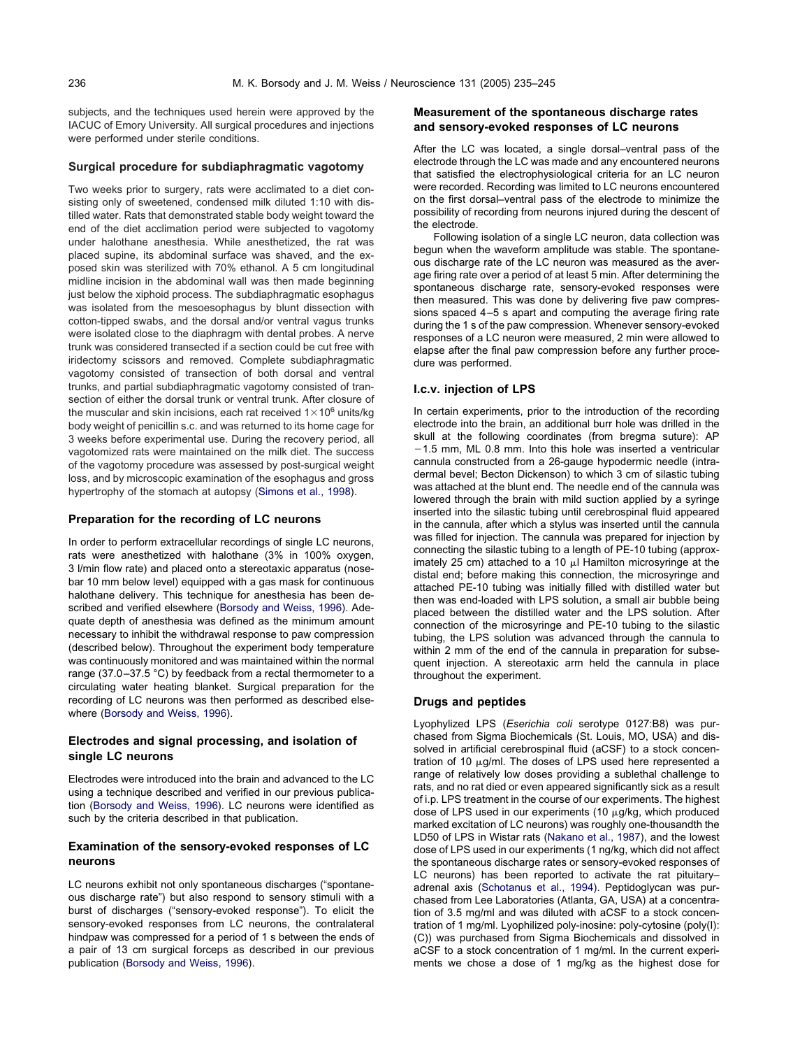subjects, and the techniques used herein were approved by the IACUC of Emory University. All surgical procedures and injections were performed under sterile conditions.

#### **Surgical procedure for subdiaphragmatic vagotomy**

Two weeks prior to surgery, rats were acclimated to a diet consisting only of sweetened, condensed milk diluted 1:10 with distilled water. Rats that demonstrated stable body weight toward the end of the diet acclimation period were subjected to vagotomy under halothane anesthesia. While anesthetized, the rat was placed supine, its abdominal surface was shaved, and the exposed skin was sterilized with 70% ethanol. A 5 cm longitudinal midline incision in the abdominal wall was then made beginning just below the xiphoid process. The subdiaphragmatic esophagus was isolated from the mesoesophagus by blunt dissection with cotton-tipped swabs, and the dorsal and/or ventral vagus trunks were isolated close to the diaphragm with dental probes. A nerve trunk was considered transected if a section could be cut free with iridectomy scissors and removed. Complete subdiaphragmatic vagotomy consisted of transection of both dorsal and ventral trunks, and partial subdiaphragmatic vagotomy consisted of transection of either the dorsal trunk or ventral trunk. After closure of the muscular and skin incisions, each rat received  $1\times10^6$  units/kg body weight of penicillin s.c. and was returned to its home cage for 3 weeks before experimental use. During the recovery period, all vagotomized rats were maintained on the milk diet. The success of the vagotomy procedure was assessed by post-surgical weight loss, and by microscopic examination of the esophagus and gross hypertrophy of the stomach at autopsy [\(Simons et al., 1998\)](#page-10-0).

#### **Preparation for the recording of LC neurons**

In order to perform extracellular recordings of single LC neurons, rats were anesthetized with halothane (3% in 100% oxygen, 3 l/min flow rate) and placed onto a stereotaxic apparatus (nosebar 10 mm below level) equipped with a gas mask for continuous halothane delivery. This technique for anesthesia has been described and verified elsewhere [\(Borsody and Weiss, 1996\)](#page-10-0). Adequate depth of anesthesia was defined as the minimum amount necessary to inhibit the withdrawal response to paw compression (described below). Throughout the experiment body temperature was continuously monitored and was maintained within the normal range (37.0 –37.5 °C) by feedback from a rectal thermometer to a circulating water heating blanket. Surgical preparation for the recording of LC neurons was then performed as described elsewhere [\(Borsody and Weiss, 1996\)](#page-10-0).

# **Electrodes and signal processing, and isolation of single LC neurons**

Electrodes were introduced into the brain and advanced to the LC using a technique described and verified in our previous publication [\(Borsody and Weiss, 1996\)](#page-10-0). LC neurons were identified as such by the criteria described in that publication.

# **Examination of the sensory-evoked responses of LC neurons**

LC neurons exhibit not only spontaneous discharges ("spontaneous discharge rate") but also respond to sensory stimuli with a burst of discharges ("sensory-evoked response"). To elicit the sensory-evoked responses from LC neurons, the contralateral hindpaw was compressed for a period of 1 s between the ends of a pair of 13 cm surgical forceps as described in our previous publication [\(Borsody and Weiss, 1996\)](#page-10-0).

## **Measurement of the spontaneous discharge rates and sensory-evoked responses of LC neurons**

After the LC was located, a single dorsal–ventral pass of the electrode through the LC was made and any encountered neurons that satisfied the electrophysiological criteria for an LC neuron were recorded. Recording was limited to LC neurons encountered on the first dorsal–ventral pass of the electrode to minimize the possibility of recording from neurons injured during the descent of the electrode.

Following isolation of a single LC neuron, data collection was begun when the waveform amplitude was stable. The spontaneous discharge rate of the LC neuron was measured as the average firing rate over a period of at least 5 min. After determining the spontaneous discharge rate, sensory-evoked responses were then measured. This was done by delivering five paw compressions spaced 4 –5 s apart and computing the average firing rate during the 1 s of the paw compression. Whenever sensory-evoked responses of a LC neuron were measured, 2 min were allowed to elapse after the final paw compression before any further procedure was performed.

# **I.c.v. injection of LPS**

In certain experiments, prior to the introduction of the recording electrode into the brain, an additional burr hole was drilled in the skull at the following coordinates (from bregma suture): AP  $-1.5$  mm, ML 0.8 mm. Into this hole was inserted a ventricular cannula constructed from a 26-gauge hypodermic needle (intradermal bevel; Becton Dickenson) to which 3 cm of silastic tubing was attached at the blunt end. The needle end of the cannula was lowered through the brain with mild suction applied by a syringe inserted into the silastic tubing until cerebrospinal fluid appeared in the cannula, after which a stylus was inserted until the cannula was filled for injection. The cannula was prepared for injection by connecting the silastic tubing to a length of PE-10 tubing (approximately 25 cm) attached to a 10  $\mu$ l Hamilton microsyringe at the distal end; before making this connection, the microsyringe and attached PE-10 tubing was initially filled with distilled water but then was end-loaded with LPS solution, a small air bubble being placed between the distilled water and the LPS solution. After connection of the microsyringe and PE-10 tubing to the silastic tubing, the LPS solution was advanced through the cannula to within 2 mm of the end of the cannula in preparation for subsequent injection. A stereotaxic arm held the cannula in place throughout the experiment.

#### **Drugs and peptides**

Lyophylized LPS (*Eserichia coli* serotype 0127:B8) was purchased from Sigma Biochemicals (St. Louis, MO, USA) and dissolved in artificial cerebrospinal fluid (aCSF) to a stock concentration of 10  $\mu$ g/ml. The doses of LPS used here represented a range of relatively low doses providing a sublethal challenge to rats, and no rat died or even appeared significantly sick as a result of i.p. LPS treatment in the course of our experiments. The highest dose of LPS used in our experiments (10  $\mu$ g/kg, which produced marked excitation of LC neurons) was roughly one-thousandth the LD50 of LPS in Wistar rats [\(Nakano et al., 1987\)](#page-10-0), and the lowest dose of LPS used in our experiments (1 ng/kg, which did not affect the spontaneous discharge rates or sensory-evoked responses of LC neurons) has been reported to activate the rat pituitary– adrenal axis [\(Schotanus et al., 1994\)](#page-10-0). Peptidoglycan was purchased from Lee Laboratories (Atlanta, GA, USA) at a concentration of 3.5 mg/ml and was diluted with aCSF to a stock concentration of 1 mg/ml. Lyophilized poly-inosine: poly-cytosine (poly(I): (C)) was purchased from Sigma Biochemicals and dissolved in aCSF to a stock concentration of 1 mg/ml. In the current experiments we chose a dose of 1 mg/kg as the highest dose for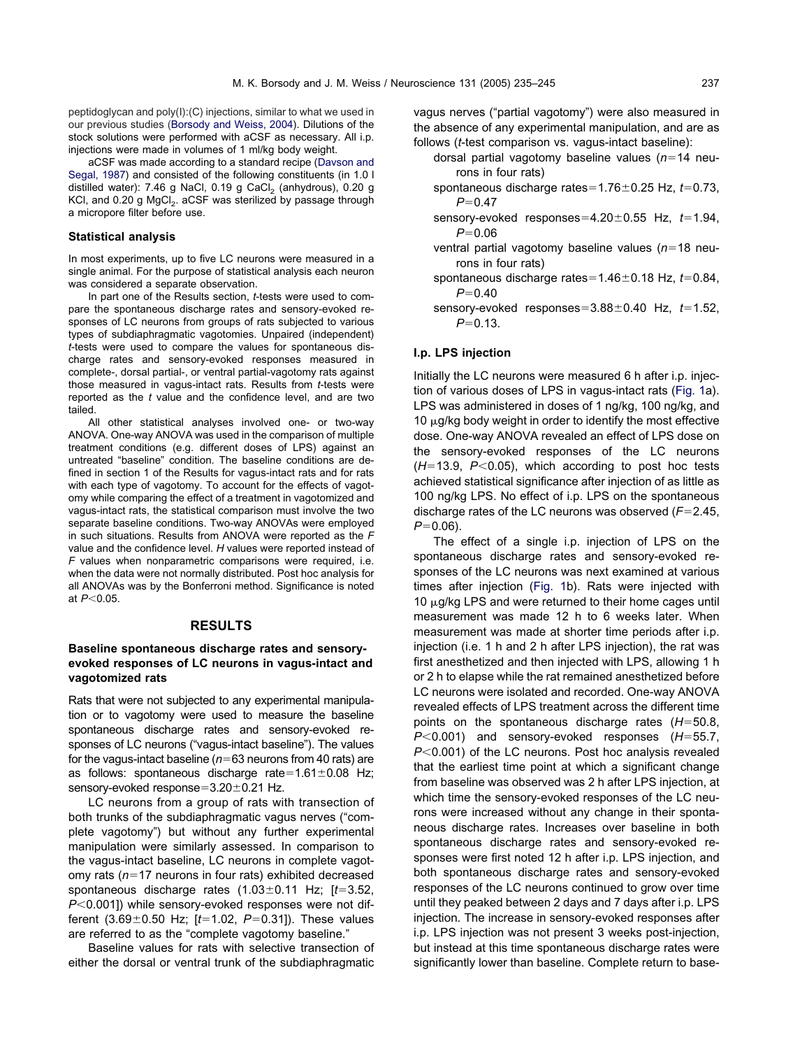aCSF was made according to a standard recipe [\(Davson and](#page-10-0) [Segal, 1987\)](#page-10-0) and consisted of the following constituents (in 1.0 l distilled water): 7.46 g NaCl, 0.19 g CaCl<sub>2</sub> (anhydrous), 0.20 g KCl, and 0.20 g MgCl<sub>2</sub>. aCSF was sterilized by passage through a micropore filter before use.

#### **Statistical analysis**

In most experiments, up to five LC neurons were measured in a single animal. For the purpose of statistical analysis each neuron was considered a separate observation.

In part one of the Results section, *t*-tests were used to compare the spontaneous discharge rates and sensory-evoked responses of LC neurons from groups of rats subjected to various types of subdiaphragmatic vagotomies. Unpaired (independent) *t*-tests were used to compare the values for spontaneous discharge rates and sensory-evoked responses measured in complete-, dorsal partial-, or ventral partial-vagotomy rats against those measured in vagus-intact rats. Results from *t*-tests were reported as the *t* value and the confidence level, and are two tailed.

All other statistical analyses involved one- or two-way ANOVA. One-way ANOVA was used in the comparison of multiple treatment conditions (e.g. different doses of LPS) against an untreated "baseline" condition. The baseline conditions are defined in section 1 of the Results for vagus-intact rats and for rats with each type of vagotomy. To account for the effects of vagotomy while comparing the effect of a treatment in vagotomized and vagus-intact rats, the statistical comparison must involve the two separate baseline conditions. Two-way ANOVAs were employed in such situations. Results from ANOVA were reported as the *F* value and the confidence level. *H* values were reported instead of *F* values when nonparametric comparisons were required, i.e. when the data were not normally distributed. Post hoc analysis for all ANOVAs was by the Bonferroni method. Significance is noted at  $P<0.05$ .

### **RESULTS**

# **Baseline spontaneous discharge rates and sensoryevoked responses of LC neurons in vagus-intact and vagotomized rats**

Rats that were not subjected to any experimental manipulation or to vagotomy were used to measure the baseline spontaneous discharge rates and sensory-evoked responses of LC neurons ("vagus-intact baseline"). The values for the vagus-intact baseline ( $n=63$  neurons from 40 rats) are as follows: spontaneous discharge rate= $1.61\pm0.08$  Hz; sensory-evoked response= $3.20\pm0.21$  Hz.

LC neurons from a group of rats with transection of both trunks of the subdiaphragmatic vagus nerves ("complete vagotomy") but without any further experimental manipulation were similarly assessed. In comparison to the vagus-intact baseline, LC neurons in complete vagotomy rats ( $n=17$  neurons in four rats) exhibited decreased spontaneous discharge rates  $(1.03\pm0.11$  Hz;  $[t=3.52,$ *P*<0.001]) while sensory-evoked responses were not different  $(3.69 \pm 0.50 \text{ Hz};$   $[t=1.02, P=0.31]$ ). These values are referred to as the "complete vagotomy baseline."

Baseline values for rats with selective transection of either the dorsal or ventral trunk of the subdiaphragmatic

vagus nerves ("partial vagotomy") were also measured in the absence of any experimental manipulation, and are as follows (*t*-test comparison vs. vagus-intact baseline):

- dorsal partial vagotomy baseline values  $(n=14$  neurons in four rats)
- spontaneous discharge rates=1.76±0.25 Hz, *t*=0.73,  $P = 0.47$
- sensory-evoked responses=4.20±0.55 Hz, t=1.94, *P*=0.06
- ventral partial vagotomy baseline values  $(n=18$  neurons in four rats)
- spontaneous discharge rates=1.46±0.18 Hz, *t*=0.84,  $P=0.40$
- sensory-evoked responses= $3.88\pm0.40$  Hz,  $t=1.52$ ,  $P=0.13$ .

#### **I.p. LPS injection**

Initially the LC neurons were measured 6 h after i.p. injection of various doses of LPS in vagus-intact rats [\(Fig. 1a](#page-3-0)). LPS was administered in doses of 1 ng/kg, 100 ng/kg, and 10  $\mu$ g/kg body weight in order to identify the most effective dose. One-way ANOVA revealed an effect of LPS dose on the sensory-evoked responses of the LC neurons  $(H=13.9, P<0.05)$ , which according to post hoc tests achieved statistical significance after injection of as little as 100 ng/kg LPS. No effect of i.p. LPS on the spontaneous discharge rates of the LC neurons was observed  $(F=2.45,$ *P*=0.06).

The effect of a single i.p. injection of LPS on the spontaneous discharge rates and sensory-evoked responses of the LC neurons was next examined at various times after injection [\(Fig. 1b](#page-3-0)). Rats were injected with 10  $\mu$ g/kg LPS and were returned to their home cages until measurement was made 12 h to 6 weeks later. When measurement was made at shorter time periods after i.p. injection (i.e. 1 h and 2 h after LPS injection), the rat was first anesthetized and then injected with LPS, allowing 1 h or 2 h to elapse while the rat remained anesthetized before LC neurons were isolated and recorded. One-way ANOVA revealed effects of LPS treatment across the different time points on the spontaneous discharge rates  $(H=50.8,$ *P*<0.001) and sensory-evoked responses (*H*=55.7, *P*<0.001) of the LC neurons. Post hoc analysis revealed that the earliest time point at which a significant change from baseline was observed was 2 h after LPS injection, at which time the sensory-evoked responses of the LC neurons were increased without any change in their spontaneous discharge rates. Increases over baseline in both spontaneous discharge rates and sensory-evoked responses were first noted 12 h after i.p. LPS injection, and both spontaneous discharge rates and sensory-evoked responses of the LC neurons continued to grow over time until they peaked between 2 days and 7 days after i.p. LPS injection. The increase in sensory-evoked responses after i.p. LPS injection was not present 3 weeks post-injection, but instead at this time spontaneous discharge rates were significantly lower than baseline. Complete return to base-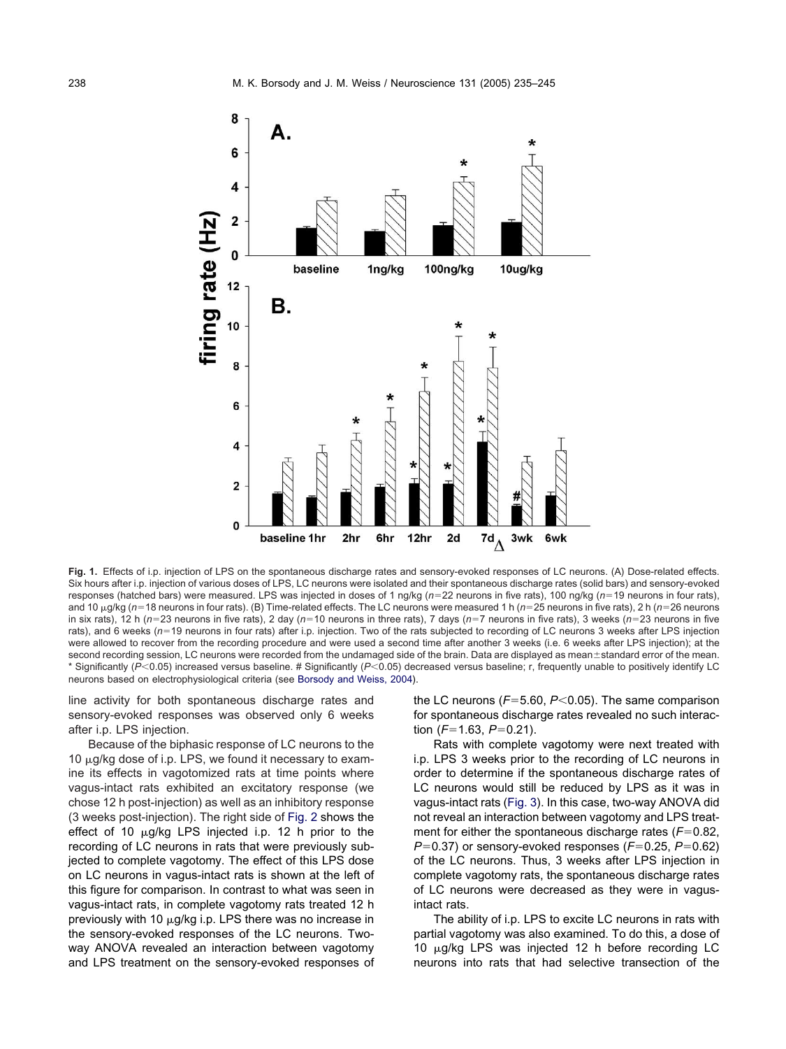<span id="page-3-0"></span>

**Fig. 1.** Effects of i.p. injection of LPS on the spontaneous discharge rates and sensory-evoked responses of LC neurons. (A) Dose-related effects. Six hours after i.p. injection of various doses of LPS, LC neurons were isolated and their spontaneous discharge rates (solid bars) and sensory-evoked responses (hatched bars) were measured. LPS was injected in doses of 1 ng/kg (n=22 neurons in five rats), 100 ng/kg (n=19 neurons in four rats), and 10 μg/kg (*n*=18 neurons in four rats). (B) Time-related effects. The LC neurons were measured 1 h (*n*=25 neurons in five rats), 2 h (*n*=26 neurons in six rats), 12 h ( $n=23$  neurons in five rats), 2 day ( $n=10$  neurons in three rats), 7 days ( $n=7$  neurons in five rats), 3 weeks ( $n=23$  neurons in five rats), and 6 weeks (n=19 neurons in four rats) after i.p. injection. Two of the rats subjected to recording of LC neurons 3 weeks after LPS injection were allowed to recover from the recording procedure and were used a second time after another 3 weeks (i.e. 6 weeks after LPS injection); at the second recording session, LC neurons were recorded from the undamaged side of the brain. Data are displayed as mean±standard error of the mean. \* Significantly (P<0.05) increased versus baseline. # Significantly (P<0.05) decreased versus baseline; r, frequently unable to positively identify LC neurons based on electrophysiological criteria (see [Borsody and Weiss, 2004\)](#page-10-0).

line activity for both spontaneous discharge rates and sensory-evoked responses was observed only 6 weeks after i.p. LPS injection.

Because of the biphasic response of LC neurons to the 10  $\mu$ g/kg dose of i.p. LPS, we found it necessary to examine its effects in vagotomized rats at time points where vagus-intact rats exhibited an excitatory response (we chose 12 h post-injection) as well as an inhibitory response (3 weeks post-injection). The right side of [Fig. 2](#page-4-0) shows the effect of 10  $\mu$ g/kg LPS injected i.p. 12 h prior to the recording of LC neurons in rats that were previously subjected to complete vagotomy. The effect of this LPS dose on LC neurons in vagus-intact rats is shown at the left of this figure for comparison. In contrast to what was seen in vagus-intact rats, in complete vagotomy rats treated 12 h previously with 10  $\mu$ g/kg i.p. LPS there was no increase in the sensory-evoked responses of the LC neurons. Twoway ANOVA revealed an interaction between vagotomy and LPS treatment on the sensory-evoked responses of the LC neurons  $(F=5.60, P<0.05)$ . The same comparison for spontaneous discharge rates revealed no such interaction  $(F=1.63, P=0.21)$ .

Rats with complete vagotomy were next treated with i.p. LPS 3 weeks prior to the recording of LC neurons in order to determine if the spontaneous discharge rates of LC neurons would still be reduced by LPS as it was in vagus-intact rats [\(Fig. 3\)](#page-4-0). In this case, two-way ANOVA did not reveal an interaction between vagotomy and LPS treatment for either the spontaneous discharge rates  $(F=0.82,$  $P=0.37$ ) or sensory-evoked responses ( $F=0.25$ ,  $P=0.62$ ) of the LC neurons. Thus, 3 weeks after LPS injection in complete vagotomy rats, the spontaneous discharge rates of LC neurons were decreased as they were in vagusintact rats.

The ability of i.p. LPS to excite LC neurons in rats with partial vagotomy was also examined. To do this, a dose of 10  $\mu$ g/kg LPS was injected 12 h before recording LC neurons into rats that had selective transection of the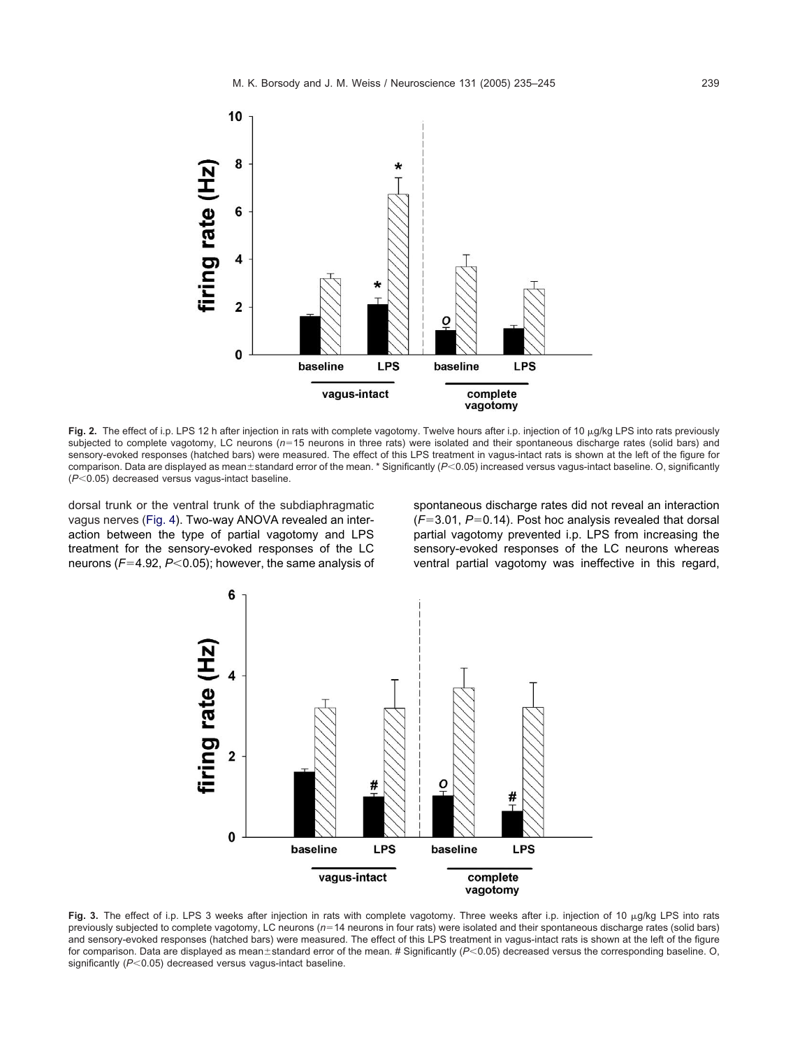<span id="page-4-0"></span>

Fig. 2. The effect of i.p. LPS 12 h after injection in rats with complete vagotomy. Twelve hours after i.p. injection of 10  $\mu q$ /kg LPS into rats previously subjected to complete vagotomy, LC neurons ( $n=15$  neurons in three rats) were isolated and their spontaneous discharge rates (solid bars) and sensory-evoked responses (hatched bars) were measured. The effect of this LPS treatment in vagus-intact rats is shown at the left of the figure for comparison. Data are displayed as mean±standard error of the mean. \* Significantly (*P*<0.05) increased versus vagus-intact baseline. O, significantly ( $P$ <0.05) decreased versus vagus-intact baseline.

dorsal trunk or the ventral trunk of the subdiaphragmatic vagus nerves [\(Fig. 4\)](#page-5-0). Two-way ANOVA revealed an interaction between the type of partial vagotomy and LPS treatment for the sensory-evoked responses of the LC neurons ( $F=4.92$ ,  $P<0.05$ ); however, the same analysis of spontaneous discharge rates did not reveal an interaction  $(F=3.01, P=0.14)$ . Post hoc analysis revealed that dorsal partial vagotomy prevented i.p. LPS from increasing the sensory-evoked responses of the LC neurons whereas ventral partial vagotomy was ineffective in this regard,



Fig. 3. The effect of i.p. LPS 3 weeks after injection in rats with complete vagotomy. Three weeks after i.p. injection of 10 µg/kg LPS into rats previously subjected to complete vagotomy, LC neurons ( $n=14$  neurons in four rats) were isolated and their spontaneous discharge rates (solid bars) and sensory-evoked responses (hatched bars) were measured. The effect of this LPS treatment in vagus-intact rats is shown at the left of the figure for comparison. Data are displayed as mean±standard error of the mean. # Significantly ( $P<0.05$ ) decreased versus the corresponding baseline. O, significantly (P<0.05) decreased versus vagus-intact baseline.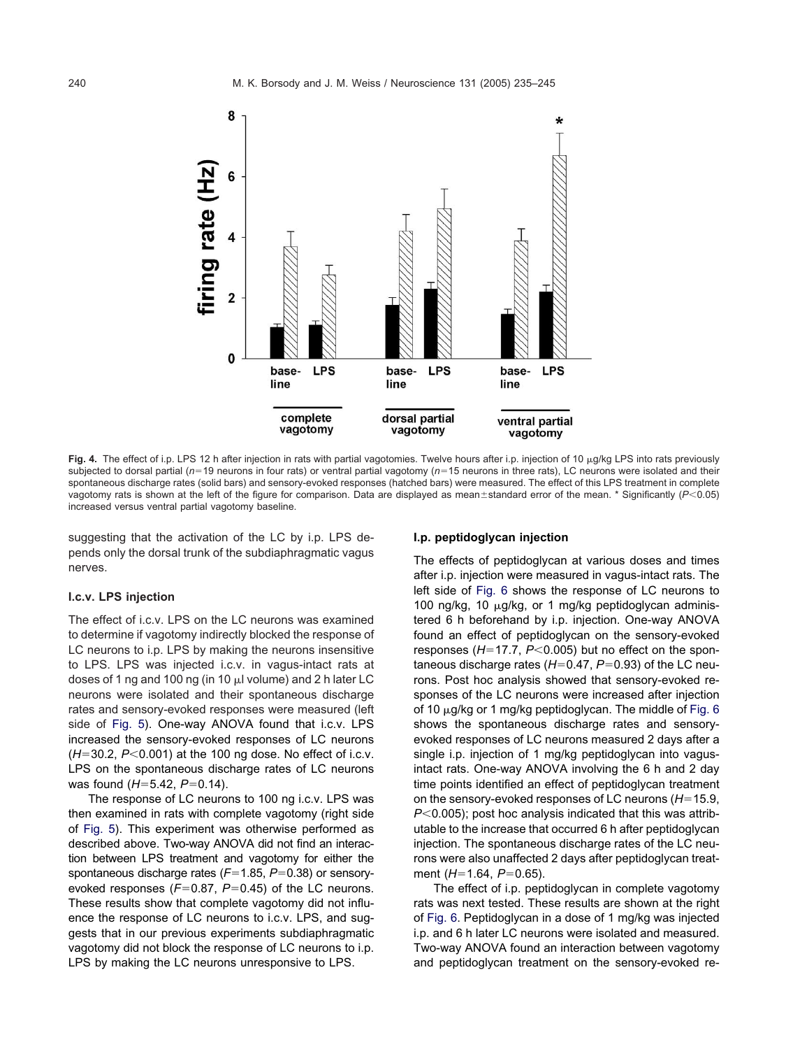<span id="page-5-0"></span>

Fig. 4. The effect of i.p. LPS 12 h after injection in rats with partial vagotomies. Twelve hours after i.p. injection of 10 µg/kg LPS into rats previously subjected to dorsal partial ( $n=19$  neurons in four rats) or ventral partial vagotomy ( $n=15$  neurons in three rats), LC neurons were isolated and their spontaneous discharge rates (solid bars) and sensory-evoked responses (hatched bars) were measured. The effect of this LPS treatment in complete vagotomy rats is shown at the left of the figure for comparison. Data are displayed as mean±standard error of the mean. \* Significantly (*P*<0.05) increased versus ventral partial vagotomy baseline.

suggesting that the activation of the LC by i.p. LPS depends only the dorsal trunk of the subdiaphragmatic vagus nerves.

# **I.c.v. LPS injection**

The effect of i.c.v. LPS on the LC neurons was examined to determine if vagotomy indirectly blocked the response of LC neurons to i.p. LPS by making the neurons insensitive to LPS. LPS was injected i.c.v. in vagus-intact rats at doses of 1 ng and 100 ng (in 10  $\mu$ I volume) and 2 h later LC neurons were isolated and their spontaneous discharge rates and sensory-evoked responses were measured (left side of [Fig. 5\)](#page-6-0). One-way ANOVA found that i.c.v. LPS increased the sensory-evoked responses of LC neurons  $(H=30.2, P<0.001)$  at the 100 ng dose. No effect of i.c.v. LPS on the spontaneous discharge rates of LC neurons was found  $(H=5.42, P=0.14)$ .

The response of LC neurons to 100 ng i.c.v. LPS was then examined in rats with complete vagotomy (right side of [Fig. 5\)](#page-6-0). This experiment was otherwise performed as described above. Two-way ANOVA did not find an interaction between LPS treatment and vagotomy for either the spontaneous discharge rates ( $F=1.85$ ,  $P=0.38$ ) or sensoryevoked responses  $(F=0.87, P=0.45)$  of the LC neurons. These results show that complete vagotomy did not influence the response of LC neurons to i.c.v. LPS, and suggests that in our previous experiments subdiaphragmatic vagotomy did not block the response of LC neurons to i.p. LPS by making the LC neurons unresponsive to LPS.

## **I.p. peptidoglycan injection**

The effects of peptidoglycan at various doses and times after i.p. injection were measured in vagus-intact rats. The left side of [Fig. 6](#page-7-0) shows the response of LC neurons to 100 ng/kg, 10  $\mu$ g/kg, or 1 mg/kg peptidoglycan administered 6 h beforehand by i.p. injection. One-way ANOVA found an effect of peptidoglycan on the sensory-evoked responses  $(H=17.7, P<0.005)$  but no effect on the spontaneous discharge rates  $(H=0.47, P=0.93)$  of the LC neurons. Post hoc analysis showed that sensory-evoked responses of the LC neurons were increased after injection of 10  $\mu$ g/kg or 1 mg/kg peptidoglycan. The middle of [Fig. 6](#page-7-0) shows the spontaneous discharge rates and sensoryevoked responses of LC neurons measured 2 days after a single i.p. injection of 1 mg/kg peptidoglycan into vagusintact rats. One-way ANOVA involving the 6 h and 2 day time points identified an effect of peptidoglycan treatment on the sensory-evoked responses of LC neurons (*H*=15.9,  $P<0.005$ ); post hoc analysis indicated that this was attributable to the increase that occurred 6 h after peptidoglycan injection. The spontaneous discharge rates of the LC neurons were also unaffected 2 days after peptidoglycan treatment (H=1.64, P=0.65).

The effect of i.p. peptidoglycan in complete vagotomy rats was next tested. These results are shown at the right of [Fig. 6.](#page-7-0) Peptidoglycan in a dose of 1 mg/kg was injected i.p. and 6 h later LC neurons were isolated and measured. Two-way ANOVA found an interaction between vagotomy and peptidoglycan treatment on the sensory-evoked re-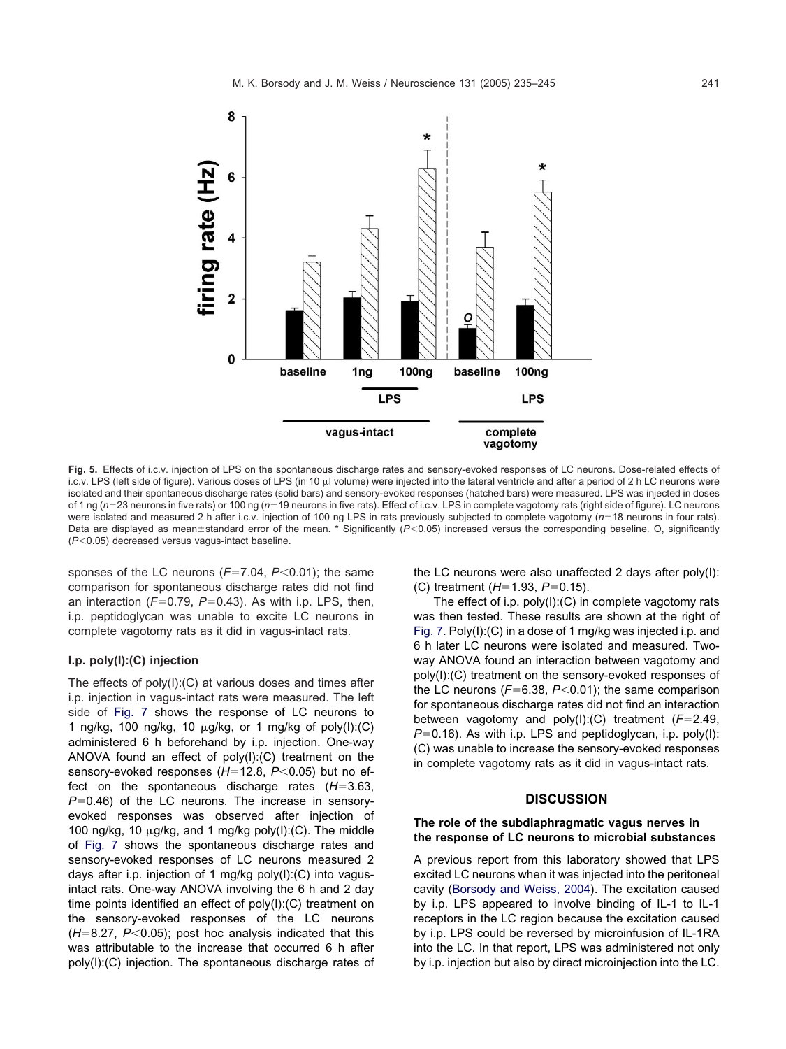<span id="page-6-0"></span>

**Fig. 5.** Effects of i.c.v. injection of LPS on the spontaneous discharge rates and sensory-evoked responses of LC neurons. Dose-related effects of i.c.v. LPS (left side of figure). Various doses of LPS (in 10 µl volume) were injected into the lateral ventricle and after a period of 2 h LC neurons were isolated and their spontaneous discharge rates (solid bars) and sensory-evoked responses (hatched bars) were measured. LPS was injected in doses of 1 ng ( $n=23$  neurons in five rats) or 100 ng ( $n=19$  neurons in five rats). Effect of i.c.v. LPS in complete vagotomy rats (right side of figure). LC neurons were isolated and measured 2 h after i.c.v. injection of 100 ng LPS in rats previously subjected to complete vagotomy ( $n=18$  neurons in four rats). Data are displayed as mean±standard error of the mean. \* Significantly (P<0.05) increased versus the corresponding baseline. O, significantly ( $P$ <0.05) decreased versus vagus-intact baseline.

sponses of the LC neurons  $(F=7.04, P<0.01)$ ; the same comparison for spontaneous discharge rates did not find an interaction  $(F=0.79, P=0.43)$ . As with i.p. LPS, then, i.p. peptidoglycan was unable to excite LC neurons in complete vagotomy rats as it did in vagus-intact rats.

# **I.p. poly(I):(C) injection**

The effects of poly(I):(C) at various doses and times after i.p. injection in vagus-intact rats were measured. The left side of [Fig. 7](#page-8-0) shows the response of LC neurons to 1 ng/kg, 100 ng/kg, 10  $\mu$ g/kg, or 1 mg/kg of poly(I):(C) administered 6 h beforehand by i.p. injection. One-way ANOVA found an effect of poly(I):(C) treatment on the sensory-evoked responses ( $H=12.8$ ,  $P<0.05$ ) but no effect on the spontaneous discharge rates  $(H=3.63,$  $P=0.46$ ) of the LC neurons. The increase in sensoryevoked responses was observed after injection of 100 ng/kg, 10  $\mu$ g/kg, and 1 mg/kg poly(I):(C). The middle of [Fig. 7](#page-8-0) shows the spontaneous discharge rates and sensory-evoked responses of LC neurons measured 2 days after i.p. injection of 1 mg/kg poly(I):(C) into vagusintact rats. One-way ANOVA involving the 6 h and 2 day time points identified an effect of poly(I):(C) treatment on the sensory-evoked responses of the LC neurons  $(H=8.27, P<0.05)$ ; post hoc analysis indicated that this was attributable to the increase that occurred 6 h after poly(I):(C) injection. The spontaneous discharge rates of the LC neurons were also unaffected 2 days after poly(I): (C) treatment  $(H=1.93, P=0.15)$ .

The effect of i.p. poly(I):(C) in complete vagotomy rats was then tested. These results are shown at the right of [Fig. 7.](#page-8-0) Poly(I):(C) in a dose of 1 mg/kg was injected i.p. and 6 h later LC neurons were isolated and measured. Twoway ANOVA found an interaction between vagotomy and poly(I):(C) treatment on the sensory-evoked responses of the LC neurons ( $F=6.38$ ,  $P<0.01$ ); the same comparison for spontaneous discharge rates did not find an interaction between vagotomy and poly(I):(C) treatment  $(F=2.49,$  $P=0.16$ ). As with i.p. LPS and peptidoglycan, i.p. poly(I): (C) was unable to increase the sensory-evoked responses in complete vagotomy rats as it did in vagus-intact rats.

# **DISCUSSION**

# **The role of the subdiaphragmatic vagus nerves in the response of LC neurons to microbial substances**

A previous report from this laboratory showed that LPS excited LC neurons when it was injected into the peritoneal cavity [\(Borsody and Weiss, 2004\)](#page-10-0). The excitation caused by i.p. LPS appeared to involve binding of IL-1 to IL-1 receptors in the LC region because the excitation caused by i.p. LPS could be reversed by microinfusion of IL-1RA into the LC. In that report, LPS was administered not only by i.p. injection but also by direct microinjection into the LC.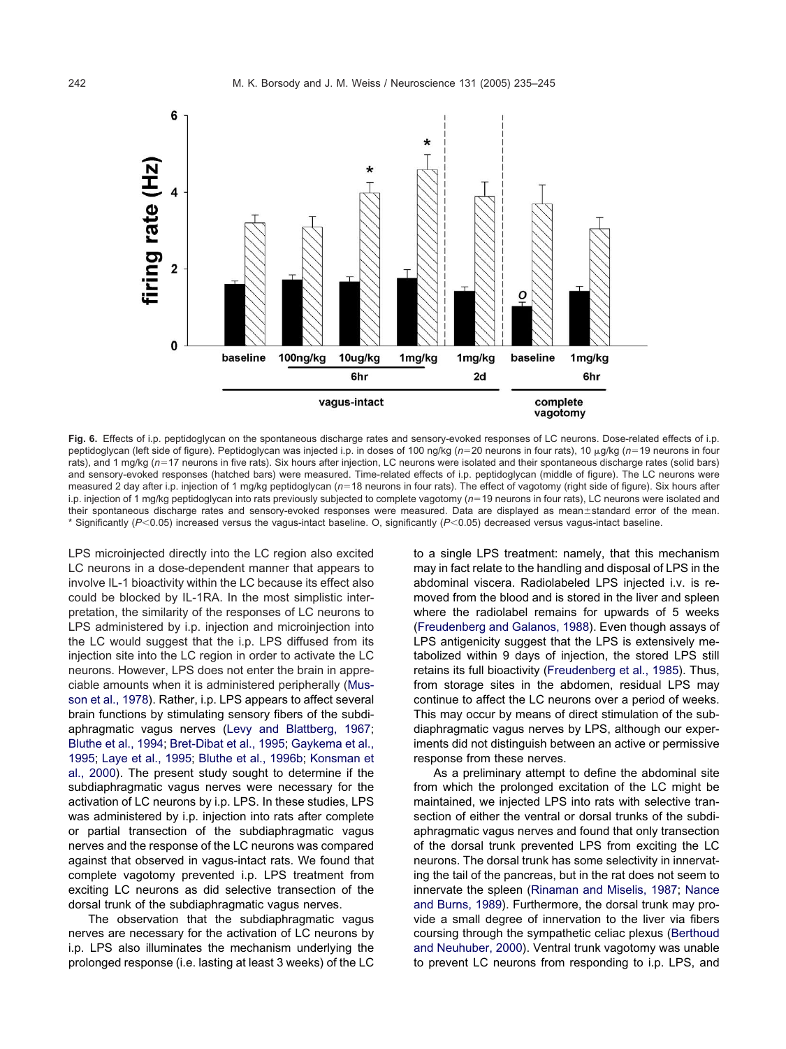<span id="page-7-0"></span>

**Fig. 6.** Effects of i.p. peptidoglycan on the spontaneous discharge rates and sensory-evoked responses of LC neurons. Dose-related effects of i.p. peptidoglycan (left side of figure). Peptidoglycan was injected i.p. in doses of 100 ng/kg (*n*=20 neurons in four rats), 10 µg/kg (*n*=19 neurons in four rats), and 1 mg/kg ( $n=17$  neurons in five rats). Six hours after injection, LC neurons were isolated and their spontaneous discharge rates (solid bars) and sensory-evoked responses (hatched bars) were measured. Time-related effects of i.p. peptidoglycan (middle of figure). The LC neurons were measured 2 day after i.p. injection of 1 mg/kg peptidoglycan ( $n=18$  neurons in four rats). The effect of vagotomy (right side of figure). Six hours after i.p. injection of 1 mg/kg peptidoglycan into rats previously subjected to complete vagotomy ( $n=19$  neurons in four rats), LC neurons were isolated and their spontaneous discharge rates and sensory-evoked responses were measured. Data are displayed as mean±standard error of the mean. \* Significantly (*P*0.05) increased versus the vagus-intact baseline. O, significantly (*P*0.05) decreased versus vagus-intact baseline.

LPS microinjected directly into the LC region also excited LC neurons in a dose-dependent manner that appears to involve IL-1 bioactivity within the LC because its effect also could be blocked by IL-1RA. In the most simplistic interpretation, the similarity of the responses of LC neurons to LPS administered by i.p. injection and microinjection into the LC would suggest that the i.p. LPS diffused from its injection site into the LC region in order to activate the LC neurons. However, LPS does not enter the brain in appreciable amounts when it is administered peripherally [\(Mus](#page-10-0)[son et al., 1978\)](#page-10-0). Rather, i.p. LPS appears to affect several brain functions by stimulating sensory fibers of the subdiaphragmatic vagus nerves [\(Levy and Blattberg, 1967;](#page-10-0) [Bluthe et al., 1994;](#page-9-0) [Bret-Dibat et al., 1995;](#page-10-0) [Gaykema et al.,](#page-10-0) [1995;](#page-10-0) [Laye et al., 1995;](#page-10-0) [Bluthe et al., 1996b;](#page-9-0) [Konsman et](#page-10-0) [al., 2000\)](#page-10-0). The present study sought to determine if the subdiaphragmatic vagus nerves were necessary for the activation of LC neurons by i.p. LPS. In these studies, LPS was administered by i.p. injection into rats after complete or partial transection of the subdiaphragmatic vagus nerves and the response of the LC neurons was compared against that observed in vagus-intact rats. We found that complete vagotomy prevented i.p. LPS treatment from exciting LC neurons as did selective transection of the dorsal trunk of the subdiaphragmatic vagus nerves.

The observation that the subdiaphragmatic vagus nerves are necessary for the activation of LC neurons by i.p. LPS also illuminates the mechanism underlying the prolonged response (i.e. lasting at least 3 weeks) of the LC

to a single LPS treatment: namely, that this mechanism may in fact relate to the handling and disposal of LPS in the abdominal viscera. Radiolabeled LPS injected i.v. is removed from the blood and is stored in the liver and spleen where the radiolabel remains for upwards of 5 weeks [\(Freudenberg and Galanos, 1988\)](#page-10-0). Even though assays of LPS antigenicity suggest that the LPS is extensively metabolized within 9 days of injection, the stored LPS still retains its full bioactivity [\(Freudenberg et al., 1985\)](#page-10-0). Thus, from storage sites in the abdomen, residual LPS may continue to affect the LC neurons over a period of weeks. This may occur by means of direct stimulation of the subdiaphragmatic vagus nerves by LPS, although our experiments did not distinguish between an active or permissive response from these nerves.

As a preliminary attempt to define the abdominal site from which the prolonged excitation of the LC might be maintained, we injected LPS into rats with selective transection of either the ventral or dorsal trunks of the subdiaphragmatic vagus nerves and found that only transection of the dorsal trunk prevented LPS from exciting the LC neurons. The dorsal trunk has some selectivity in innervating the tail of the pancreas, but in the rat does not seem to innervate the spleen [\(Rinaman and Miselis, 1987;](#page-10-0) [Nance](#page-10-0) [and Burns, 1989\)](#page-10-0). Furthermore, the dorsal trunk may provide a small degree of innervation to the liver via fibers coursing through the sympathetic celiac plexus [\(Berthoud](#page-9-0) [and Neuhuber, 2000\)](#page-9-0). Ventral trunk vagotomy was unable to prevent LC neurons from responding to i.p. LPS, and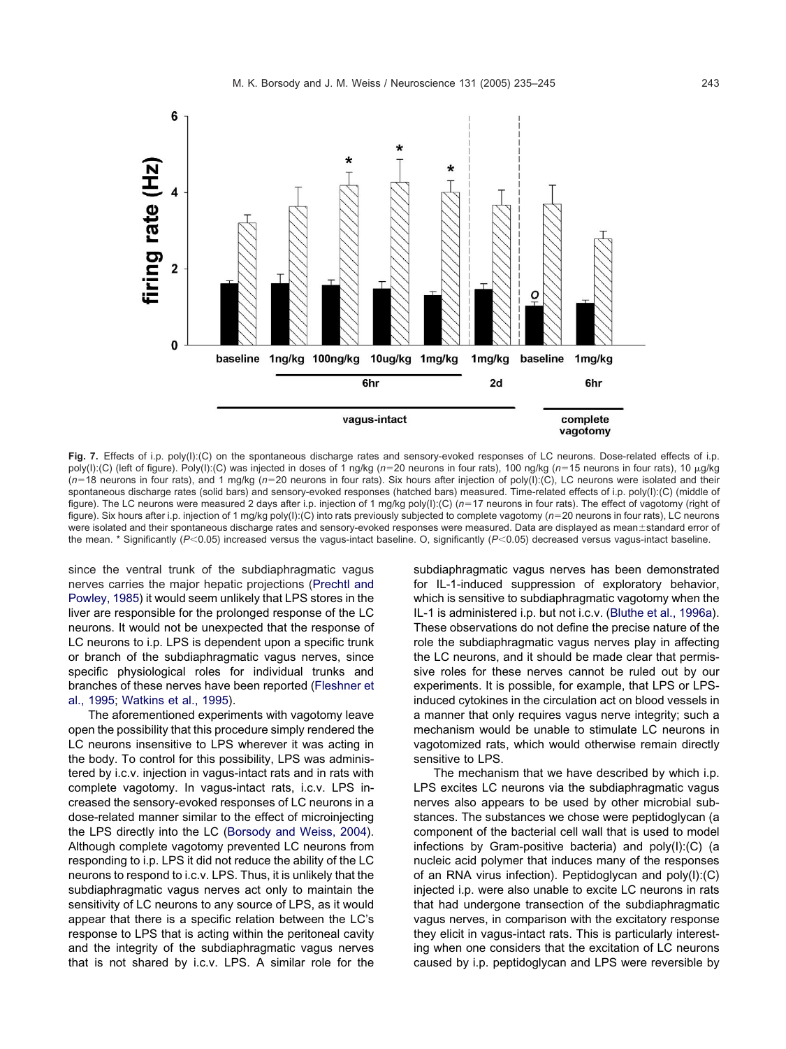<span id="page-8-0"></span>

**Fig. 7.** Effects of i.p. poly(I):(C) on the spontaneous discharge rates and sensory-evoked responses of LC neurons. Dose-related effects of i.p. poly(I):(C) (left of figure). Poly(I):(C) was injected in doses of 1 ng/kg (*n*=20 neurons in four rats), 100 ng/kg (*n*=15 neurons in four rats), 10 µg/kg (*n*18 neurons in four rats), and 1 mg/kg (*n*20 neurons in four rats). Six hours after injection of poly(I):(C), LC neurons were isolated and their spontaneous discharge rates (solid bars) and sensory-evoked responses (hatched bars) measured. Time-related effects of i.p. poly(I):(C) (middle of figure). The LC neurons were measured 2 days after i.p. injection of 1 mg/kg poly(I):(C) ( $n=17$  neurons in four rats). The effect of vagotomy (right of figure). Six hours after i.p. injection of 1 mg/kg poly(I):(C) into rats previously subjected to complete vagotomy ( $n=20$  neurons in four rats), LC neurons were isolated and their spontaneous discharge rates and sensory-evoked responses were measured. Data are displayed as mean±standard error of the mean. \* Significantly (P<0.05) increased versus the vagus-intact baseline. O, significantly (P<0.05) decreased versus vagus-intact baseline.

since the ventral trunk of the subdiaphragmatic vagus nerves carries the major hepatic projections [\(Prechtl and](#page-10-0) [Powley, 1985\)](#page-10-0) it would seem unlikely that LPS stores in the liver are responsible for the prolonged response of the LC neurons. It would not be unexpected that the response of LC neurons to i.p. LPS is dependent upon a specific trunk or branch of the subdiaphragmatic vagus nerves, since specific physiological roles for individual trunks and branches of these nerves have been reported [\(Fleshner et](#page-10-0) [al., 1995;](#page-10-0) [Watkins et al., 1995\)](#page-10-0).

The aforementioned experiments with vagotomy leave open the possibility that this procedure simply rendered the LC neurons insensitive to LPS wherever it was acting in the body. To control for this possibility, LPS was administered by i.c.v. injection in vagus-intact rats and in rats with complete vagotomy. In vagus-intact rats, i.c.v. LPS increased the sensory-evoked responses of LC neurons in a dose-related manner similar to the effect of microinjecting the LPS directly into the LC [\(Borsody and Weiss, 2004\)](#page-10-0). Although complete vagotomy prevented LC neurons from responding to i.p. LPS it did not reduce the ability of the LC neurons to respond to i.c.v. LPS. Thus, it is unlikely that the subdiaphragmatic vagus nerves act only to maintain the sensitivity of LC neurons to any source of LPS, as it would appear that there is a specific relation between the LC's response to LPS that is acting within the peritoneal cavity and the integrity of the subdiaphragmatic vagus nerves that is not shared by i.c.v. LPS. A similar role for the

subdiaphragmatic vagus nerves has been demonstrated for IL-1-induced suppression of exploratory behavior, which is sensitive to subdiaphragmatic vagotomy when the IL-1 is administered i.p. but not i.c.v. [\(Bluthe et al., 1996a\)](#page-9-0). These observations do not define the precise nature of the role the subdiaphragmatic vagus nerves play in affecting the LC neurons, and it should be made clear that permissive roles for these nerves cannot be ruled out by our experiments. It is possible, for example, that LPS or LPSinduced cytokines in the circulation act on blood vessels in a manner that only requires vagus nerve integrity; such a mechanism would be unable to stimulate LC neurons in vagotomized rats, which would otherwise remain directly sensitive to LPS.

The mechanism that we have described by which i.p. LPS excites LC neurons via the subdiaphragmatic vagus nerves also appears to be used by other microbial substances. The substances we chose were peptidoglycan (a component of the bacterial cell wall that is used to model infections by Gram-positive bacteria) and poly(I):(C) (a nucleic acid polymer that induces many of the responses of an RNA virus infection). Peptidoglycan and poly(I):(C) injected i.p. were also unable to excite LC neurons in rats that had undergone transection of the subdiaphragmatic vagus nerves, in comparison with the excitatory response they elicit in vagus-intact rats. This is particularly interesting when one considers that the excitation of LC neurons caused by i.p. peptidoglycan and LPS were reversible by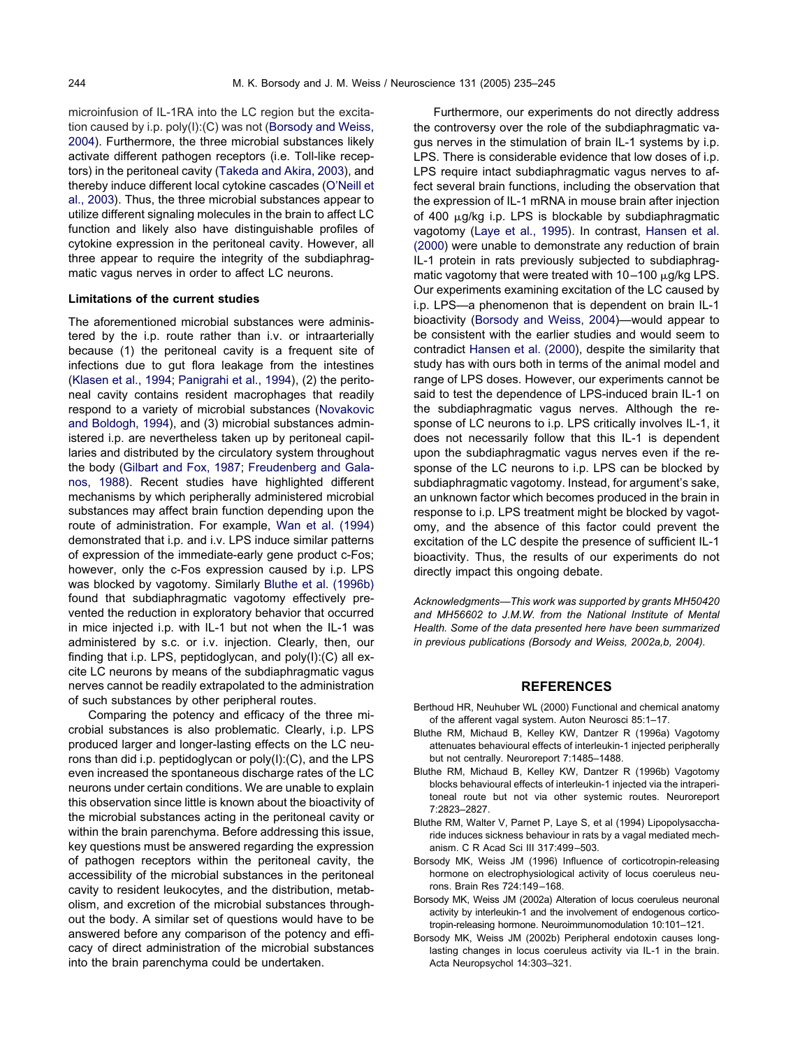<span id="page-9-0"></span>microinfusion of IL-1RA into the LC region but the excitation caused by i.p. poly(I):(C) was not [\(Borsody and Weiss,](#page-10-0) [2004\)](#page-10-0). Furthermore, the three microbial substances likely activate different pathogen receptors (i.e. Toll-like receptors) in the peritoneal cavity [\(Takeda and Akira, 2003\)](#page-10-0), and thereby induce different local cytokine cascades [\(O'Neill et](#page-10-0) [al., 2003\)](#page-10-0). Thus, the three microbial substances appear to utilize different signaling molecules in the brain to affect LC function and likely also have distinguishable profiles of cytokine expression in the peritoneal cavity. However, all three appear to require the integrity of the subdiaphragmatic vagus nerves in order to affect LC neurons.

## **Limitations of the current studies**

The aforementioned microbial substances were administered by the i.p. route rather than i.v. or intraarterially because (1) the peritoneal cavity is a frequent site of infections due to gut flora leakage from the intestines [\(Klasen et al., 1994;](#page-10-0) [Panigrahi et al., 1994\)](#page-10-0), (2) the peritoneal cavity contains resident macrophages that readily respond to a variety of microbial substances [\(Novakovic](#page-10-0) [and Boldogh, 1994\)](#page-10-0), and (3) microbial substances administered i.p. are nevertheless taken up by peritoneal capillaries and distributed by the circulatory system throughout the body [\(Gilbart and Fox, 1987;](#page-10-0) [Freudenberg and Gala](#page-10-0)[nos, 1988\)](#page-10-0). Recent studies have highlighted different mechanisms by which peripherally administered microbial substances may affect brain function depending upon the route of administration. For example, [Wan et al. \(1994\)](#page-10-0) demonstrated that i.p. and i.v. LPS induce similar patterns of expression of the immediate-early gene product c-Fos; however, only the c-Fos expression caused by i.p. LPS was blocked by vagotomy. Similarly Bluthe et al. (1996b) found that subdiaphragmatic vagotomy effectively prevented the reduction in exploratory behavior that occurred in mice injected i.p. with IL-1 but not when the IL-1 was administered by s.c. or i.v. injection. Clearly, then, our finding that i.p. LPS, peptidoglycan, and poly(I):(C) all excite LC neurons by means of the subdiaphragmatic vagus nerves cannot be readily extrapolated to the administration of such substances by other peripheral routes.

Comparing the potency and efficacy of the three microbial substances is also problematic. Clearly, i.p. LPS produced larger and longer-lasting effects on the LC neurons than did i.p. peptidoglycan or poly(I):(C), and the LPS even increased the spontaneous discharge rates of the LC neurons under certain conditions. We are unable to explain this observation since little is known about the bioactivity of the microbial substances acting in the peritoneal cavity or within the brain parenchyma. Before addressing this issue, key questions must be answered regarding the expression of pathogen receptors within the peritoneal cavity, the accessibility of the microbial substances in the peritoneal cavity to resident leukocytes, and the distribution, metabolism, and excretion of the microbial substances throughout the body. A similar set of questions would have to be answered before any comparison of the potency and efficacy of direct administration of the microbial substances into the brain parenchyma could be undertaken.

Furthermore, our experiments do not directly address the controversy over the role of the subdiaphragmatic vagus nerves in the stimulation of brain IL-1 systems by i.p. LPS. There is considerable evidence that low doses of i.p. LPS require intact subdiaphragmatic vagus nerves to affect several brain functions, including the observation that the expression of IL-1 mRNA in mouse brain after injection of 400  $\mu$ g/kg i.p. LPS is blockable by subdiaphragmatic vagotomy [\(Laye et al., 1995\)](#page-10-0). In contrast, [Hansen et al.](#page-10-0) [\(2000\)](#page-10-0) were unable to demonstrate any reduction of brain IL-1 protein in rats previously subjected to subdiaphragmatic vagotomy that were treated with  $10-100 \mu g/kg$  LPS. Our experiments examining excitation of the LC caused by i.p. LPS—a phenomenon that is dependent on brain IL-1 bioactivity [\(Borsody and Weiss, 2004\)](#page-10-0)—would appear to be consistent with the earlier studies and would seem to contradict [Hansen et al. \(2000\)](#page-10-0), despite the similarity that study has with ours both in terms of the animal model and range of LPS doses. However, our experiments cannot be said to test the dependence of LPS-induced brain IL-1 on the subdiaphragmatic vagus nerves. Although the response of LC neurons to i.p. LPS critically involves IL-1, it does not necessarily follow that this IL-1 is dependent upon the subdiaphragmatic vagus nerves even if the response of the LC neurons to i.p. LPS can be blocked by subdiaphragmatic vagotomy. Instead, for argument's sake, an unknown factor which becomes produced in the brain in response to i.p. LPS treatment might be blocked by vagotomy, and the absence of this factor could prevent the excitation of the LC despite the presence of sufficient IL-1 bioactivity. Thus, the results of our experiments do not directly impact this ongoing debate.

*Acknowledgments—This work was supported by grants MH50420 and MH56602 to J.M.W. from the National Institute of Mental Health. Some of the data presented here have been summarized in previous publications (Borsody and Weiss, 2002a,b, 2004).*

# **REFERENCES**

- Berthoud HR, Neuhuber WL (2000) Functional and chemical anatomy of the afferent vagal system. Auton Neurosci 85:1–17.
- Bluthe RM, Michaud B, Kelley KW, Dantzer R (1996a) Vagotomy attenuates behavioural effects of interleukin-1 injected peripherally but not centrally. Neuroreport 7:1485–1488.
- Bluthe RM, Michaud B, Kelley KW, Dantzer R (1996b) Vagotomy blocks behavioural effects of interleukin-1 injected via the intraperitoneal route but not via other systemic routes. Neuroreport 7:2823–2827.
- Bluthe RM, Walter V, Parnet P, Laye S, et al (1994) Lipopolysaccharide induces sickness behaviour in rats by a vagal mediated mechanism. C R Acad Sci III 317:499 –503.
- Borsody MK, Weiss JM (1996) Influence of corticotropin-releasing hormone on electrophysiological activity of locus coeruleus neurons. Brain Res 724:149 –168.
- Borsody MK, Weiss JM (2002a) Alteration of locus coeruleus neuronal activity by interleukin-1 and the involvement of endogenous corticotropin-releasing hormone. Neuroimmunomodulation 10:101–121.
- Borsody MK, Weiss JM (2002b) Peripheral endotoxin causes longlasting changes in locus coeruleus activity via IL-1 in the brain. Acta Neuropsychol 14:303–321.